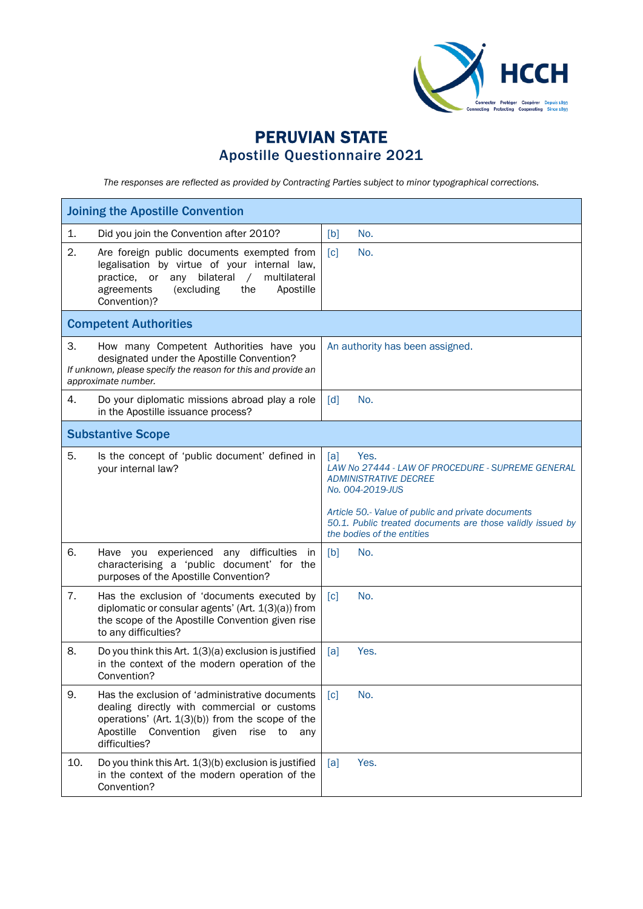

## PERUVIAN STATE Apostille Questionnaire 2021

*The responses are reflected as provided by Contracting Parties subject to minor typographical corrections.*

| <b>Joining the Apostille Convention</b>                                                                                                                                                                                            |                                                                                                                                                                            |  |  |  |
|------------------------------------------------------------------------------------------------------------------------------------------------------------------------------------------------------------------------------------|----------------------------------------------------------------------------------------------------------------------------------------------------------------------------|--|--|--|
| Did you join the Convention after 2010?<br>1.                                                                                                                                                                                      | No.<br>[b]                                                                                                                                                                 |  |  |  |
| 2.<br>Are foreign public documents exempted from<br>legalisation by virtue of your internal law,<br>bilateral<br>practice, or<br>any<br>$\sqrt{2}$<br>multilateral<br>agreements<br>(excluding<br>the<br>Apostille<br>Convention)? | $\lceil c \rceil$<br>No.                                                                                                                                                   |  |  |  |
| <b>Competent Authorities</b>                                                                                                                                                                                                       |                                                                                                                                                                            |  |  |  |
| 3.<br>How many Competent Authorities have you<br>designated under the Apostille Convention?<br>If unknown, please specify the reason for this and provide an<br>approximate number.                                                | An authority has been assigned.                                                                                                                                            |  |  |  |
| 4.<br>Do your diplomatic missions abroad play a role<br>in the Apostille issuance process?                                                                                                                                         | $\lceil d \rceil$<br>No.                                                                                                                                                   |  |  |  |
| <b>Substantive Scope</b>                                                                                                                                                                                                           |                                                                                                                                                                            |  |  |  |
| 5.<br>Is the concept of 'public document' defined in<br>your internal law?                                                                                                                                                         | Yes.<br>[a]<br>LAW No 27444 - LAW OF PROCEDURE - SUPREME GENERAL<br><b>ADMINISTRATIVE DECREE</b><br>No. 004-2019-JUS<br>Article 50.- Value of public and private documents |  |  |  |
|                                                                                                                                                                                                                                    | 50.1. Public treated documents are those validly issued by<br>the bodies of the entities                                                                                   |  |  |  |
| 6.<br>Have you experienced any difficulties<br>in<br>characterising a 'public document' for the<br>purposes of the Apostille Convention?                                                                                           | No.<br>[b]                                                                                                                                                                 |  |  |  |
| 7.<br>Has the exclusion of 'documents executed by<br>diplomatic or consular agents' (Art. $1(3)(a)$ ) from<br>the scope of the Apostille Convention given rise<br>to any difficulties?                                             | $\lceil c \rceil$<br>No.                                                                                                                                                   |  |  |  |
| 8.<br>Do you think this Art. 1(3)(a) exclusion is justified<br>in the context of the modern operation of the<br>Convention?                                                                                                        | Yes.<br>[a]                                                                                                                                                                |  |  |  |
| 9.<br>Has the exclusion of 'administrative documents<br>dealing directly with commercial or customs<br>operations' (Art. $1(3)(b)$ ) from the scope of the<br>Apostille<br>Convention given<br>rise<br>to<br>any<br>difficulties?  | No.<br>$\lceil c \rceil$                                                                                                                                                   |  |  |  |
| 10.<br>Do you think this Art. 1(3)(b) exclusion is justified<br>in the context of the modern operation of the<br>Convention?                                                                                                       | Yes.<br>[a]                                                                                                                                                                |  |  |  |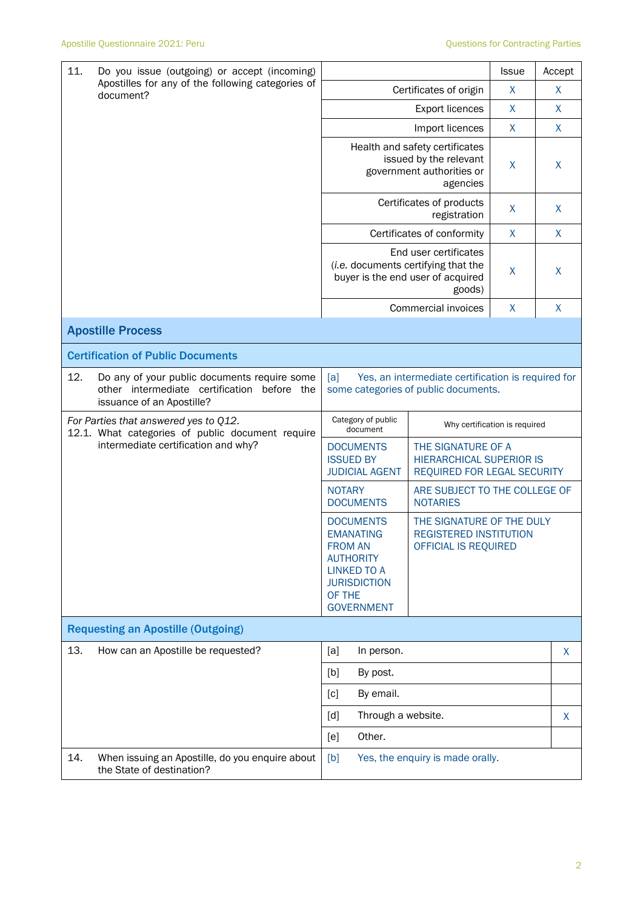| 11.<br>Do you issue (outgoing) or accept (incoming)<br>Apostilles for any of the following categories of<br>document? |                                                                                                                             |                                                                                                                                                        | <b>Issue</b>                                                                         | Accept       |              |
|-----------------------------------------------------------------------------------------------------------------------|-----------------------------------------------------------------------------------------------------------------------------|--------------------------------------------------------------------------------------------------------------------------------------------------------|--------------------------------------------------------------------------------------|--------------|--------------|
|                                                                                                                       |                                                                                                                             | Certificates of origin                                                                                                                                 | X                                                                                    | X            |              |
|                                                                                                                       |                                                                                                                             |                                                                                                                                                        | <b>Export licences</b>                                                               | X            | X            |
|                                                                                                                       |                                                                                                                             |                                                                                                                                                        | Import licences                                                                      | $\mathsf{X}$ | $\mathsf{X}$ |
|                                                                                                                       |                                                                                                                             | Health and safety certificates<br>issued by the relevant<br>government authorities or                                                                  | X                                                                                    | X            |              |
|                                                                                                                       |                                                                                                                             |                                                                                                                                                        | Certificates of products<br>registration                                             | X            | X            |
|                                                                                                                       |                                                                                                                             |                                                                                                                                                        | Certificates of conformity                                                           | X            | X            |
|                                                                                                                       |                                                                                                                             | End user certificates<br>(i.e. documents certifying that the<br>buyer is the end user of acquired                                                      | X                                                                                    | X            |              |
|                                                                                                                       |                                                                                                                             |                                                                                                                                                        | Commercial invoices                                                                  | X            | $\sf X$      |
|                                                                                                                       | <b>Apostille Process</b>                                                                                                    |                                                                                                                                                        |                                                                                      |              |              |
|                                                                                                                       | <b>Certification of Public Documents</b>                                                                                    |                                                                                                                                                        |                                                                                      |              |              |
| 12.                                                                                                                   | Do any of your public documents require some<br>other intermediate certification<br>before the<br>issuance of an Apostille? | Yes, an intermediate certification is required for<br>[a]<br>some categories of public documents.                                                      |                                                                                      |              |              |
|                                                                                                                       | For Parties that answered yes to Q12.<br>12.1. What categories of public document require                                   | Category of public<br>document                                                                                                                         | Why certification is required                                                        |              |              |
|                                                                                                                       | intermediate certification and why?                                                                                         | <b>DOCUMENTS</b><br><b>ISSUED BY</b><br><b>JUDICIAL AGENT</b>                                                                                          | THE SIGNATURE OF A<br><b>HIERARCHICAL SUPERIOR IS</b><br>REQUIRED FOR LEGAL SECURITY |              |              |
|                                                                                                                       |                                                                                                                             | ARE SUBJECT TO THE COLLEGE OF<br><b>NOTARY</b><br><b>DOCUMENTS</b><br><b>NOTARIES</b>                                                                  |                                                                                      |              |              |
|                                                                                                                       |                                                                                                                             | <b>DOCUMENTS</b><br><b>EMANATING</b><br><b>FROM AN</b><br><b>AUTHORITY</b><br><b>LINKED TO A</b><br><b>JURISDICTION</b><br>OF THE<br><b>GOVERNMENT</b> | THE SIGNATURE OF THE DULY<br><b>REGISTERED INSTITUTION</b><br>OFFICIAL IS REQUIRED   |              |              |
|                                                                                                                       | <b>Requesting an Apostille (Outgoing)</b>                                                                                   |                                                                                                                                                        |                                                                                      |              |              |
| 13.                                                                                                                   | How can an Apostille be requested?                                                                                          | [a]<br>In person.                                                                                                                                      |                                                                                      |              | X            |
|                                                                                                                       |                                                                                                                             | [b]<br>By post.                                                                                                                                        |                                                                                      |              |              |
|                                                                                                                       |                                                                                                                             | By email.<br>[c]                                                                                                                                       |                                                                                      |              |              |
|                                                                                                                       |                                                                                                                             | Through a website.<br>[d]                                                                                                                              |                                                                                      |              | X.           |
|                                                                                                                       |                                                                                                                             | Other.<br>[e]                                                                                                                                          |                                                                                      |              |              |
| 14.                                                                                                                   | When issuing an Apostille, do you enquire about<br>the State of destination?                                                | [b]                                                                                                                                                    | Yes, the enquiry is made orally.                                                     |              |              |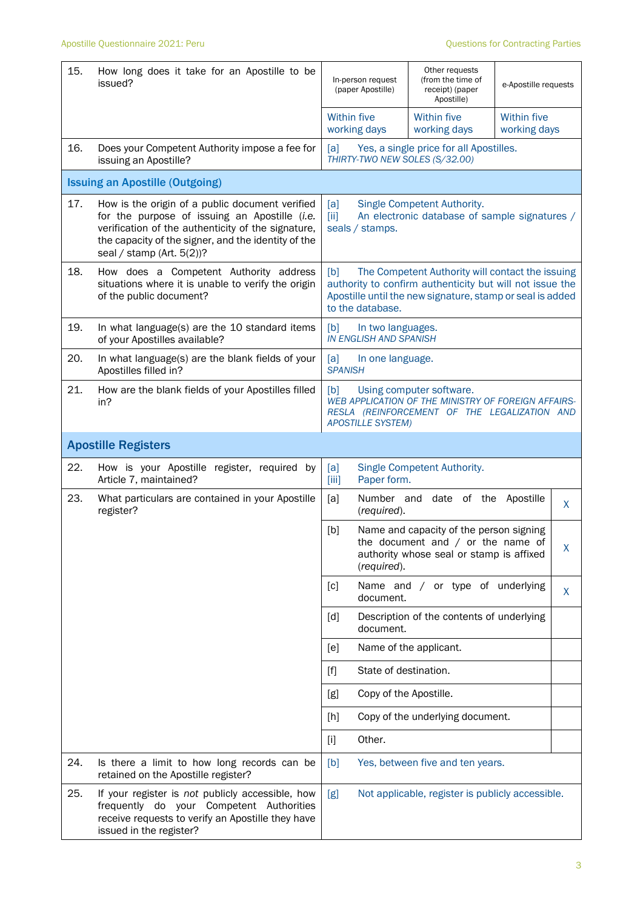| 15. | How long does it take for an Apostille to be<br>issued?                                                                                                                                                                                       | In-person request<br>(paper Apostille)                    | Other requests<br>(from the time of<br>receipt) (paper<br>Apostille)                                                                                                      | e-Apostille requests               |    |
|-----|-----------------------------------------------------------------------------------------------------------------------------------------------------------------------------------------------------------------------------------------------|-----------------------------------------------------------|---------------------------------------------------------------------------------------------------------------------------------------------------------------------------|------------------------------------|----|
|     |                                                                                                                                                                                                                                               | <b>Within five</b><br>working days                        | <b>Within five</b><br>working days                                                                                                                                        | <b>Within five</b><br>working days |    |
| 16. | Does your Competent Authority impose a fee for<br>issuing an Apostille?                                                                                                                                                                       | [a]<br>THIRTY-TWO NEW SOLES (S/32.00)                     | Yes, a single price for all Apostilles.                                                                                                                                   |                                    |    |
|     | <b>Issuing an Apostille (Outgoing)</b>                                                                                                                                                                                                        |                                                           |                                                                                                                                                                           |                                    |    |
| 17. | How is the origin of a public document verified<br>for the purpose of issuing an Apostille (i.e.<br>verification of the authenticity of the signature,<br>the capacity of the signer, and the identity of the<br>seal / stamp (Art. $5(2)$ )? | [a]<br>[iii]<br>seals / stamps.                           | Single Competent Authority.<br>An electronic database of sample signatures /                                                                                              |                                    |    |
| 18. | How does a Competent Authority address<br>situations where it is unable to verify the origin<br>of the public document?                                                                                                                       | [b]<br>to the database.                                   | The Competent Authority will contact the issuing<br>authority to confirm authenticity but will not issue the<br>Apostille until the new signature, stamp or seal is added |                                    |    |
| 19. | In what language(s) are the 10 standard items<br>of your Apostilles available?                                                                                                                                                                | [b]<br>In two languages.<br><b>IN ENGLISH AND SPANISH</b> |                                                                                                                                                                           |                                    |    |
| 20. | In what language(s) are the blank fields of your<br>Apostilles filled in?                                                                                                                                                                     | [a]<br>In one language.<br><b>SPANISH</b>                 |                                                                                                                                                                           |                                    |    |
| 21. | How are the blank fields of your Apostilles filled<br>in?                                                                                                                                                                                     | [b]<br><b>APOSTILLE SYSTEM)</b>                           | Using computer software.<br>WEB APPLICATION OF THE MINISTRY OF FOREIGN AFFAIRS-<br>RESLA (REINFORCEMENT OF THE LEGALIZATION AND                                           |                                    |    |
|     | <b>Apostille Registers</b>                                                                                                                                                                                                                    |                                                           |                                                                                                                                                                           |                                    |    |
| 22. | How is your Apostille register, required<br>by<br>Article 7, maintained?                                                                                                                                                                      | [a]<br>Paper form.<br>$\left[\right]$                     | Single Competent Authority.                                                                                                                                               |                                    |    |
| 23. | What particulars are contained in your Apostille<br>register?                                                                                                                                                                                 | [a]<br>(required).                                        | Number and date of the Apostille                                                                                                                                          |                                    | X. |
|     |                                                                                                                                                                                                                                               | [b]<br>(required).                                        | Name and capacity of the person signing<br>the document and / or the name of<br>authority whose seal or stamp is affixed                                                  |                                    | X  |
|     |                                                                                                                                                                                                                                               | [c]<br>document.                                          | Name and / or type of underlying                                                                                                                                          |                                    | X. |
|     |                                                                                                                                                                                                                                               | [d]<br>document.                                          | Description of the contents of underlying                                                                                                                                 |                                    |    |
|     |                                                                                                                                                                                                                                               | [e]                                                       | Name of the applicant.                                                                                                                                                    |                                    |    |
|     |                                                                                                                                                                                                                                               | State of destination.<br>$[f]$                            |                                                                                                                                                                           |                                    |    |
|     |                                                                                                                                                                                                                                               | Copy of the Apostille.<br>[g]                             |                                                                                                                                                                           |                                    |    |
|     |                                                                                                                                                                                                                                               | [h]                                                       | Copy of the underlying document.                                                                                                                                          |                                    |    |
|     |                                                                                                                                                                                                                                               | Other.<br>$[1]$                                           |                                                                                                                                                                           |                                    |    |
| 24. | Is there a limit to how long records can be<br>retained on the Apostille register?                                                                                                                                                            | [b]                                                       | Yes, between five and ten years.                                                                                                                                          |                                    |    |
| 25. | If your register is not publicly accessible, how<br>frequently do your Competent Authorities<br>receive requests to verify an Apostille they have<br>issued in the register?                                                                  | [g]                                                       | Not applicable, register is publicly accessible.                                                                                                                          |                                    |    |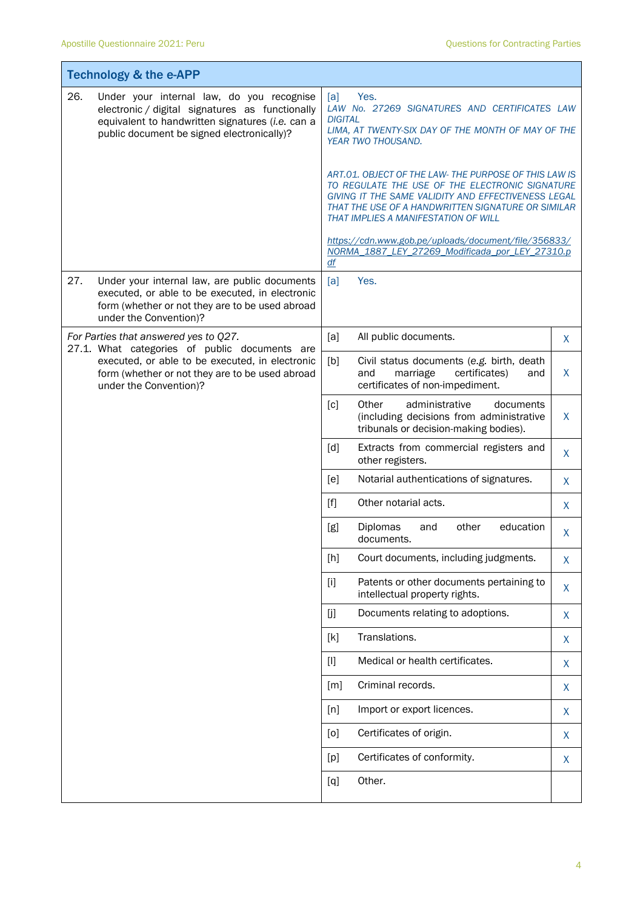| <b>Technology &amp; the e-APP</b>                                                                                                                                             |                                                                                                                                                                                                |                                                                                                                                                                                                                                                              |   |
|-------------------------------------------------------------------------------------------------------------------------------------------------------------------------------|------------------------------------------------------------------------------------------------------------------------------------------------------------------------------------------------|--------------------------------------------------------------------------------------------------------------------------------------------------------------------------------------------------------------------------------------------------------------|---|
| 26.                                                                                                                                                                           | Under your internal law, do you recognise<br>electronic / digital signatures as functionally<br>equivalent to handwritten signatures (i.e. can a<br>public document be signed electronically)? | Yes.<br>[a]<br>LAW No. 27269 SIGNATURES AND CERTIFICATES LAW<br><b>DIGITAL</b><br>LIMA, AT TWENTY-SIX DAY OF THE MONTH OF MAY OF THE<br>YEAR TWO THOUSAND.                                                                                                   |   |
|                                                                                                                                                                               |                                                                                                                                                                                                | ART.01. OBJECT OF THE LAW-THE PURPOSE OF THIS LAW IS<br>TO REGULATE THE USE OF THE ELECTRONIC SIGNATURE<br>GIVING IT THE SAME VALIDITY AND EFFECTIVENESS LEGAL<br>THAT THE USE OF A HANDWRITTEN SIGNATURE OR SIMILAR<br>THAT IMPLIES A MANIFESTATION OF WILL |   |
|                                                                                                                                                                               |                                                                                                                                                                                                | https://cdn.www.gob.pe/uploads/document/file/356833/<br>NORMA 1887 LEY 27269 Modificada por LEY 27310.p<br>df                                                                                                                                                |   |
| 27.                                                                                                                                                                           | Under your internal law, are public documents<br>executed, or able to be executed, in electronic<br>form (whether or not they are to be used abroad<br>under the Convention)?                  | Yes.<br>[a]                                                                                                                                                                                                                                                  |   |
|                                                                                                                                                                               | For Parties that answered yes to Q27.                                                                                                                                                          | [a]<br>All public documents.                                                                                                                                                                                                                                 | X |
| 27.1. What categories of public documents are<br>executed, or able to be executed, in electronic<br>form (whether or not they are to be used abroad<br>under the Convention)? | [b]<br>Civil status documents (e.g. birth, death<br>and<br>marriage<br>certificates)<br>and<br>certificates of non-impediment.                                                                 | X                                                                                                                                                                                                                                                            |   |
|                                                                                                                                                                               |                                                                                                                                                                                                | Other<br>[c]<br>administrative<br>documents<br>(including decisions from administrative<br>tribunals or decision-making bodies).                                                                                                                             | X |
|                                                                                                                                                                               |                                                                                                                                                                                                | [d]<br>Extracts from commercial registers and<br>other registers.                                                                                                                                                                                            | X |
|                                                                                                                                                                               |                                                                                                                                                                                                | Notarial authentications of signatures.<br>[e]                                                                                                                                                                                                               | X |
|                                                                                                                                                                               |                                                                                                                                                                                                | Other notarial acts.<br>[f]                                                                                                                                                                                                                                  | X |
|                                                                                                                                                                               |                                                                                                                                                                                                | other<br>education<br>[g]<br><b>Diplomas</b><br>and<br>documents.                                                                                                                                                                                            | X |
|                                                                                                                                                                               |                                                                                                                                                                                                | Court documents, including judgments.<br>[h]                                                                                                                                                                                                                 | X |
|                                                                                                                                                                               |                                                                                                                                                                                                | Patents or other documents pertaining to<br>$[1]$<br>intellectual property rights.                                                                                                                                                                           | X |
|                                                                                                                                                                               |                                                                                                                                                                                                | [j]<br>Documents relating to adoptions.                                                                                                                                                                                                                      | X |
|                                                                                                                                                                               |                                                                                                                                                                                                | Translations.<br>[k]                                                                                                                                                                                                                                         | X |
|                                                                                                                                                                               |                                                                                                                                                                                                | $[1]$<br>Medical or health certificates.                                                                                                                                                                                                                     | X |
|                                                                                                                                                                               |                                                                                                                                                                                                | Criminal records.<br>[m]                                                                                                                                                                                                                                     | X |
|                                                                                                                                                                               |                                                                                                                                                                                                | Import or export licences.<br>[n]                                                                                                                                                                                                                            | X |
|                                                                                                                                                                               |                                                                                                                                                                                                | Certificates of origin.<br>[0]                                                                                                                                                                                                                               | X |
|                                                                                                                                                                               |                                                                                                                                                                                                | Certificates of conformity.<br>[p]                                                                                                                                                                                                                           | X |
|                                                                                                                                                                               |                                                                                                                                                                                                | Other.<br>[q]                                                                                                                                                                                                                                                |   |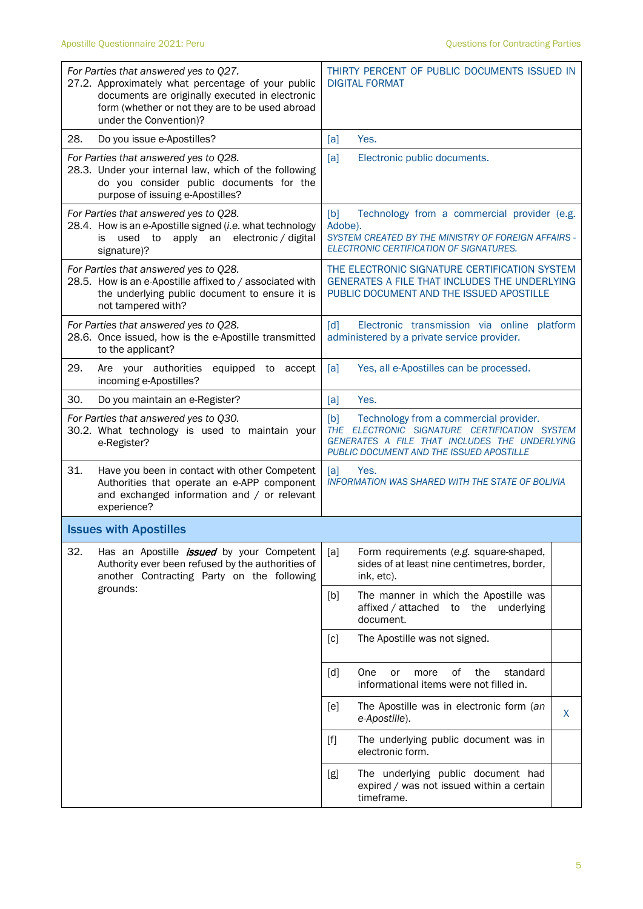| For Parties that answered yes to Q27.<br>27.2. Approximately what percentage of your public<br>documents are originally executed in electronic<br>form (whether or not they are to be used abroad<br>under the Convention)? | THIRTY PERCENT OF PUBLIC DOCUMENTS ISSUED IN<br><b>DIGITAL FORMAT</b>                                                                                                                       |  |  |
|-----------------------------------------------------------------------------------------------------------------------------------------------------------------------------------------------------------------------------|---------------------------------------------------------------------------------------------------------------------------------------------------------------------------------------------|--|--|
| 28.<br>Do you issue e-Apostilles?                                                                                                                                                                                           | Yes.<br>[a]                                                                                                                                                                                 |  |  |
| For Parties that answered yes to Q28.<br>28.3. Under your internal law, which of the following<br>do you consider public documents for the<br>purpose of issuing e-Apostilles?                                              | [a]<br>Electronic public documents.                                                                                                                                                         |  |  |
| For Parties that answered yes to Q28.<br>28.4. How is an e-Apostille signed (i.e. what technology<br>apply an electronic / digital<br>used to<br>is.<br>signature)?                                                         | [b]<br>Technology from a commercial provider (e.g.<br>Adobe).<br>SYSTEM CREATED BY THE MINISTRY OF FOREIGN AFFAIRS -<br>ELECTRONIC CERTIFICATION OF SIGNATURES.                             |  |  |
| For Parties that answered yes to Q28.<br>28.5. How is an e-Apostille affixed to / associated with<br>the underlying public document to ensure it is<br>not tampered with?                                                   | THE ELECTRONIC SIGNATURE CERTIFICATION SYSTEM<br>GENERATES A FILE THAT INCLUDES THE UNDERLYING<br>PUBLIC DOCUMENT AND THE ISSUED APOSTILLE                                                  |  |  |
| For Parties that answered yes to Q28.<br>28.6. Once issued, how is the e-Apostille transmitted<br>to the applicant?                                                                                                         | $\lceil d \rceil$<br>Electronic transmission via online platform<br>administered by a private service provider.                                                                             |  |  |
| 29.<br>Are your authorities<br>equipped to accept<br>incoming e-Apostilles?                                                                                                                                                 | Yes, all e-Apostilles can be processed.<br>[a]                                                                                                                                              |  |  |
| 30.<br>Do you maintain an e-Register?                                                                                                                                                                                       | Yes.<br>[a]                                                                                                                                                                                 |  |  |
| For Parties that answered yes to Q30.<br>30.2. What technology is used to maintain your<br>e-Register?                                                                                                                      | [b]<br>Technology from a commercial provider.<br>THE ELECTRONIC SIGNATURE CERTIFICATION SYSTEM<br>GENERATES A FILE THAT INCLUDES THE UNDERLYING<br>PUBLIC DOCUMENT AND THE ISSUED APOSTILLE |  |  |
| 31.<br>Have you been in contact with other Competent<br>Authorities that operate an e-APP component<br>and exchanged information and / or relevant<br>experience?                                                           | [a]<br>Yes.<br><b>INFORMATION WAS SHARED WITH THE STATE OF BOLIVIA</b>                                                                                                                      |  |  |
| <b>Issues with Apostilles</b>                                                                                                                                                                                               |                                                                                                                                                                                             |  |  |
| 32.<br>Has an Apostille <i>issued</i> by your Competent<br>Authority ever been refused by the authorities of<br>another Contracting Party on the following                                                                  | Form requirements (e.g. square-shaped,<br>[a]<br>sides of at least nine centimetres, border,<br>ink, etc).                                                                                  |  |  |
| grounds:                                                                                                                                                                                                                    | The manner in which the Apostille was<br>[b]<br>affixed / attached<br>to<br>the underlying<br>document.                                                                                     |  |  |
|                                                                                                                                                                                                                             | The Apostille was not signed.<br>[c]                                                                                                                                                        |  |  |
|                                                                                                                                                                                                                             | [d]<br>One<br>of<br>the<br>standard<br>or<br>more<br>informational items were not filled in.                                                                                                |  |  |
|                                                                                                                                                                                                                             | The Apostille was in electronic form (an<br>[e]<br>X<br>e-Apostille).                                                                                                                       |  |  |
|                                                                                                                                                                                                                             | The underlying public document was in<br>$[f]$<br>electronic form.                                                                                                                          |  |  |
|                                                                                                                                                                                                                             | The underlying public document had<br>[g]<br>expired / was not issued within a certain<br>timeframe.                                                                                        |  |  |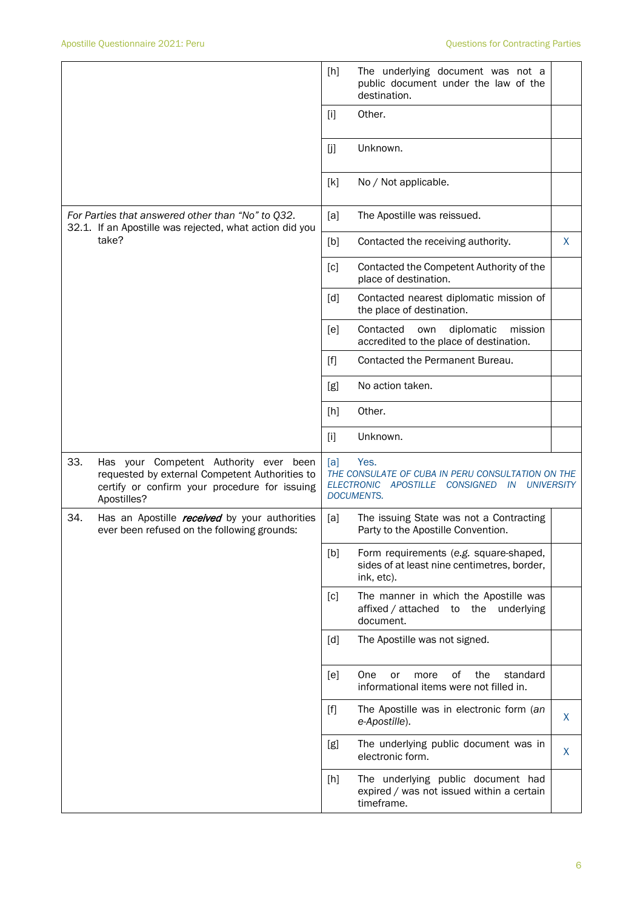|                                                                                                                       |                                                                                                                                                          | [h]   | The underlying document was not a<br>public document under the law of the<br>destination.                                                |    |
|-----------------------------------------------------------------------------------------------------------------------|----------------------------------------------------------------------------------------------------------------------------------------------------------|-------|------------------------------------------------------------------------------------------------------------------------------------------|----|
|                                                                                                                       |                                                                                                                                                          | $[1]$ | Other.                                                                                                                                   |    |
|                                                                                                                       |                                                                                                                                                          | [j]   | Unknown.                                                                                                                                 |    |
|                                                                                                                       |                                                                                                                                                          | [k]   | No / Not applicable.                                                                                                                     |    |
| For Parties that answered other than "No" to Q32.<br>32.1. If an Apostille was rejected, what action did you<br>take? |                                                                                                                                                          | [a]   | The Apostille was reissued.                                                                                                              |    |
|                                                                                                                       |                                                                                                                                                          | [b]   | Contacted the receiving authority.                                                                                                       | X. |
|                                                                                                                       |                                                                                                                                                          | [c]   | Contacted the Competent Authority of the<br>place of destination.                                                                        |    |
|                                                                                                                       |                                                                                                                                                          | [d]   | Contacted nearest diplomatic mission of<br>the place of destination.                                                                     |    |
|                                                                                                                       |                                                                                                                                                          | [e]   | Contacted<br>diplomatic<br>mission<br>own<br>accredited to the place of destination.                                                     |    |
|                                                                                                                       |                                                                                                                                                          | $[f]$ | Contacted the Permanent Bureau.                                                                                                          |    |
|                                                                                                                       |                                                                                                                                                          | [g]   | No action taken.                                                                                                                         |    |
|                                                                                                                       |                                                                                                                                                          | [h]   | Other.                                                                                                                                   |    |
|                                                                                                                       |                                                                                                                                                          | $[1]$ | Unknown.                                                                                                                                 |    |
| 33.                                                                                                                   | Has your Competent Authority ever been<br>requested by external Competent Authorities to<br>certify or confirm your procedure for issuing<br>Apostilles? | [a]   | Yes.<br>THE CONSULATE OF CUBA IN PERU CONSULTATION ON THE<br><b>ELECTRONIC</b><br>APOSTILLE CONSIGNED IN UNIVERSITY<br><b>DOCUMENTS.</b> |    |
| 34.                                                                                                                   | Has an Apostille <i>received</i> by your authorities<br>ever been refused on the following grounds:                                                      | [a]   | The issuing State was not a Contracting<br>Party to the Apostille Convention.                                                            |    |
|                                                                                                                       |                                                                                                                                                          | [b]   | Form requirements (e.g. square-shaped,<br>sides of at least nine centimetres, border,<br>ink, etc).                                      |    |
|                                                                                                                       |                                                                                                                                                          | [c]   | The manner in which the Apostille was<br>affixed / attached to the underlying<br>document.                                               |    |
|                                                                                                                       |                                                                                                                                                          | [d]   | The Apostille was not signed.                                                                                                            |    |
|                                                                                                                       |                                                                                                                                                          | [e]   | of<br>the<br>standard<br>One<br>more<br>or<br>informational items were not filled in.                                                    |    |
|                                                                                                                       |                                                                                                                                                          | $[f]$ | The Apostille was in electronic form (an<br>e-Apostille).                                                                                | X. |
|                                                                                                                       |                                                                                                                                                          | [g]   | The underlying public document was in<br>electronic form.                                                                                | X  |
|                                                                                                                       |                                                                                                                                                          | [h]   | The underlying public document had<br>expired / was not issued within a certain<br>timeframe.                                            |    |